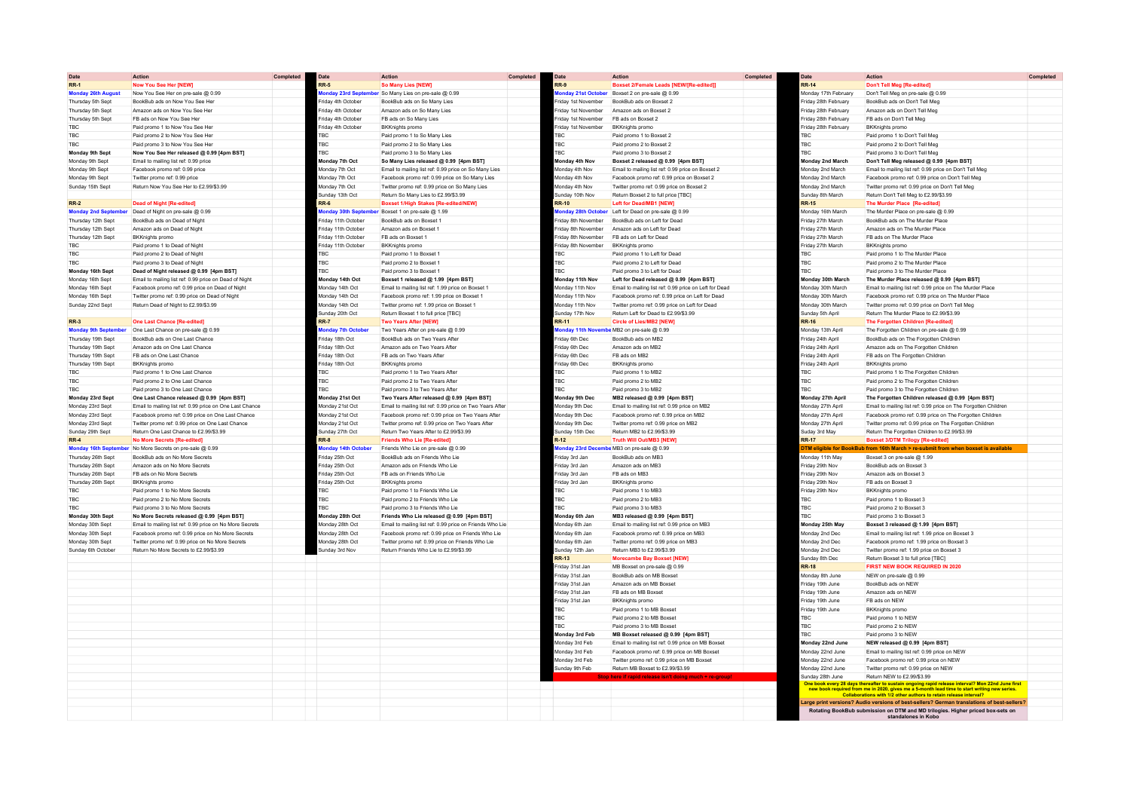| Date                        | <b>Action</b>                                            | Completed | Date                                        | Action                                                       | Completed | Date                   | <b>Action</b>                                          | Completed | Date                    | <b>Action</b>                                                                                                                                                                                                                        | Completed |
|-----------------------------|----------------------------------------------------------|-----------|---------------------------------------------|--------------------------------------------------------------|-----------|------------------------|--------------------------------------------------------|-----------|-------------------------|--------------------------------------------------------------------------------------------------------------------------------------------------------------------------------------------------------------------------------------|-----------|
| <b>RR-1</b>                 | Now You See Her [NEW]                                    |           | RR-5                                        | <b>So Many Lies INEW</b>                                     |           | $R-S$                  | Boxset 2/Female Leads [NEW/[Re-edited]]                |           | RR-14                   | Don't Tell Mea [Re-edited]                                                                                                                                                                                                           |           |
| <b>Monday 26th August</b>   | Now You See Her on pre-sale @ 0.99                       |           |                                             | <b>Monday 23rd September</b> So Many Lies on pre-sale @ 0.99 |           |                        | fonday 21st October Boxset 2 on pre-sale @ 0.99        |           | Monday 17th February    | Don't Tell Meg on pre-sale @ 0.99                                                                                                                                                                                                    |           |
| Thursday 5th Sept           | BookBub ads on Now You See Her                           |           | Friday 4th October                          | BookBub ads on So Many Lies                                  |           | riday 1st November     | BookBub ads on Boxset 2                                |           | Friday 28th February    | BookBub ads on Don't Tell Meg                                                                                                                                                                                                        |           |
| Thursday 5th Sept           | Amazon ads on Now You See Her                            |           | riday 4th October                           | Amazon ads on So Many Lies                                   |           | riday 1st November     | Amazon ads on Boxset 2                                 |           | riday 28th February     | Amazon ads on Don't Tell Mec                                                                                                                                                                                                         |           |
| Thursday 5th Sent           | FB ads on Now You See Her                                |           | riday 4th October                           | FB ads on So Many Lies                                       |           | riday 1st November     | FB ads on Boxset 2                                     |           | riday 28th February     | FB ads on Don't Tell Meg                                                                                                                                                                                                             |           |
| TBC.                        | Paid promo 1 to Now You See He                           |           | riday 4th October                           | <b>BKKnights promo</b>                                       |           | riday 1st November     | BKKnights promo                                        |           | Friday 28th February    | <b>BKKnights promo</b>                                                                                                                                                                                                               |           |
| TBC                         | Paid promo 2 to Now You See Her                          |           | BC                                          | Paid promo 1 to So Many Lies                                 |           | BC                     | Paid promo 1 to Boxset 2                               |           | <b>BC</b>               | Paid promo 1 to Don't Tell Meg                                                                                                                                                                                                       |           |
| TBC                         | Paid promo 3 to Now You See Her                          |           | BC                                          | Paid promo 2 to So Many Lies                                 |           | <b>TBC</b>             | Paid promo 2 to Boxset 2                               |           | <b>FBC</b>              | Paid promo 2 to Don't Tell Meg                                                                                                                                                                                                       |           |
| Monday 9th Sept             | Now You See Her released @ 0.99 [4pm BST]                |           | <b>BC</b>                                   | Paid promo 3 to So Many Lies                                 |           | BC                     | Paid promo 3 to Boxset 2                               |           | <b>FRC</b>              | Paid promo 3 to Don't Tell Med                                                                                                                                                                                                       |           |
| Monday 9th Sept             | Email to mailing list ref: 0.99 price                    |           | Monday 7th Oct                              | So Many Lies released @ 0.99 [4pm BST]                       |           | <b>Monday 4th Nov</b>  | Boxset 2 released @ 0.99 [4pm BST]                     |           | Monday 2nd March        | Don't Tell Meg released @ 0.99 [4pm BST]                                                                                                                                                                                             |           |
| Monday 9th Sept             | Facebook promo ref: 0.99 price                           |           | Monday 7th Oct                              | Email to mailing list ref: 0.99 price on So Many Lies        |           | Monday 4th Nov         | Email to mailing list ref: 0.99 price on Boxset 2      |           | Monday 2nd March        | Email to mailing list ref: 0.99 price on Don't Tell Meg                                                                                                                                                                              |           |
| Monday 9th Sept             | Twitter promo ref: 0.99 price                            |           | Monday 7th Oct                              | Facebook promo ref: 0.99 price on So Many Lies               |           | Monday 4th Nov         | Facebook promo ref: 0.99 price on Boxset 2             |           | Monday 2nd March        | Facebook promo ref: 0.99 price on Don't Tell Meg                                                                                                                                                                                     |           |
| Sunday 15th Sept            | Return Now You See Her to £2,99/\$3,99                   |           | Monday 7th Oct                              | Twitter promo ref: 0.99 price on So Many Lies                |           | Monday 4th Nov         | Twitter promo ref: 0.99 price on Boxset 2              |           | Monday 2nd March        | Twitter promo ref: 0.99 price on Don't Tell Med                                                                                                                                                                                      |           |
|                             |                                                          |           | Sunday 13th Oct                             | Return So Many Lies to £2 99/\$3.99                          |           | <b>Sunday 10th Nov</b> | Return Boxset 2 to full price [TBC]                    |           | <b>Sunday 8th March</b> | Return Don't Tell Meg to £2,99/\$3,99                                                                                                                                                                                                |           |
| $RR-2$                      | <b>Dead of Night [Re-edited]</b>                         |           | RR-6                                        | Boxset 1/High Stakes [Re-edited/NEW]                         |           | <b>RR-10</b>           | Left for Dead/MB1 [NEW]                                |           | <b>RR-15</b>            | The Murder Place [Re-edited]                                                                                                                                                                                                         |           |
| <b>Monday 2nd September</b> | Dead of Night on pre-sale @ 0.99                         |           |                                             | fonday 30th September Boxset 1 on pre-sale @ 1.99            |           |                        | fonday 28th October Left for Dead on pre-sale @ 0.99   |           | Monday 16th March       | The Murder Place on pre-sale @ 0.99                                                                                                                                                                                                  |           |
| Thursday 12th Sept          | BookBub ads on Dead of Night                             |           | riday 11th October                          | BookBub ads on Boxset                                        |           | riday 8th November     | BookBub ads on Left for Dead                           |           | riday 27th March        | BookBub ads on The Murder Place                                                                                                                                                                                                      |           |
| Thursday 12th Sept          | Amazon ads on Dead of Night                              |           | riday 11th October                          | Amazon ads on Boxset                                         |           | riday 8th November     | Amazon ads on Left for Dead                            |           | riday 27th March        | Amazon ads on The Murder Place                                                                                                                                                                                                       |           |
| Thursday 12th Sept          | <b>BKKnights</b> promo                                   |           | riday 11th October                          | FB ads on Boxset 1                                           |           | riday 8th November     | FB ads on Left for Dead                                |           | riday 27th March        | FB ads on The Murder Place                                                                                                                                                                                                           |           |
| <b>TBC</b>                  | Paid promo 1 to Dead of Night                            |           | riday 11th October                          | <b>BKKnights promo</b>                                       |           | riday 8th November     | BKKnights promo                                        |           | riday 27th March        | <b>BKKnights promo</b>                                                                                                                                                                                                               |           |
| <b>TBC</b>                  | Paid promo 2 to Dead of Night                            |           | <b>BC</b>                                   | Paid promo 1 to Boxset                                       |           | <b>TBC</b>             | Paid promo 1 to Left for Dead                          |           | <b>TBC</b>              | Paid promo 1 to The Murder Place                                                                                                                                                                                                     |           |
| TBC                         | Paid promo 3 to Dead of Night                            |           | TBC.                                        | Paid promo 2 to Boxset                                       |           | <b>TBC</b>             | Paid promo 2 to Left for Dead                          |           | <b>FRC</b>              | Paid promo 2 to The Murder Place                                                                                                                                                                                                     |           |
| Monday 16th Sept            | Dead of Night released @ 0.99 [4pm BST]                  |           | FRC.                                        | Paid promo 3 to Boxset                                       |           | <b>TBC</b>             | Paid promo 3 to Left for Dead                          |           | <b>TRC</b>              | Paid promo 3 to The Murder Place                                                                                                                                                                                                     |           |
| Monday 16th Sept            | Email to mailing list ref: 0.99 price on Dead of Night   |           | Monday 14th Oct                             | Boxset 1 released @ 1.99 [4pm BST]                           |           | Monday 11th Nov        | Left for Dead released @ 0.99 [4pm BST]                |           | Monday 30th March       | The Murder Place released @ 0.99 [4pm BST]                                                                                                                                                                                           |           |
| Monday 16th Sept            | Facebook promo ref: 0.99 price on Dead of Night          |           | Monday 14th Oct                             | Email to mailing list ref: 1.99 price on Boxset 1            |           | Monday 11th Nov        | Email to mailing list ref: 0.99 price on Left for Dead |           | Monday 30th March       | Email to mailing list ref: 0.99 price on The Murder Place                                                                                                                                                                            |           |
| Monday 16th Sept            | Twitter promo ref: 0.99 price on Dead of Night           |           | Monday 14th Oct                             | Facebook promo ref: 1.99 price on Boxset 1                   |           | Monday 11th Nov        | Facebook promo ref: 0.99 price on Left for Dead        |           | Monday 30th March       | Facebook promo ref: 0.99 price on The Murder Place                                                                                                                                                                                   |           |
| Sunday 22nd Sept            | Return Dead of Night to £2.99/\$3.99                     |           | Monday 14th Oct                             | Twitter promo ref: 1.99 price on Boxset 1                    |           | Monday 11th Nov        | Twitter promo ref: 0.99 price on Left for Dead         |           | Aonday 30th March       | Twitter promo ref: 0.99 price on Don't Tell Meg                                                                                                                                                                                      |           |
|                             |                                                          |           | Sunday 20th Oct                             | Return Boxset 1 to full price [TBC]                          |           | Sunday 17th Nov        | Return Left for Dead to £2.99/\$3.99                   |           | Sunday 5th April        | Return The Murder Place to £2,99/\$3.99                                                                                                                                                                                              |           |
| <b>RR-3</b>                 | <b>One Last Chance [Re-edited]</b>                       |           | <b>RR-7</b>                                 | <b>Two Years After [NEW]</b>                                 |           | R-11                   | <b>Circle of Lies/MB2 INEW</b>                         |           | <b>RR-16</b>            | The Forgotten Children [Re-edited                                                                                                                                                                                                    |           |
| <b>Monday 9th Septembe</b>  | One Last Chance on pre-sale @ 0.99                       |           |                                             | Two Years After on pre-sale @ 0.99                           |           | onday 11th I           | e MB2 on pre-sale @ 0.99                               |           | Monday 13th April       | The Forgotten Children on pre-sale @ 0.99                                                                                                                                                                                            |           |
| Thursday 19th Sent          | BookBub ads on One Last Chance                           |           | <b>Ionday 7th October</b><br>riday 18th Oct | <b>BookBub ads on Two Years After</b>                        |           | riday 6th Dec          | BookBub ads on MB2                                     |           | Friday 24th Anril       |                                                                                                                                                                                                                                      |           |
| Thursday 19th Sent          | Amazon ads on One Last Chance                            |           | riday 18th Oct                              | Amazon ads on Two Years After                                |           | riday 6th Dec          | Amazon ads on MB2                                      |           | riday 24th April        | BookBub ads on The Forgotten Children<br>Amazon ads on The Forgotten Children                                                                                                                                                        |           |
| Thursday 19th Sept          | FB ads on One Last Chance                                |           | riday 18th Oct                              | FB ads on Two Years After                                    |           | riday 6th Dec          | FB ads on MB2                                          |           | riday 24th April        | FB ads on The Forgotten Children                                                                                                                                                                                                     |           |
| Thursday 19th Sept          | <b>BKKnights</b> promo                                   |           | riday 18th Oct                              | <b>BKKnights promo</b>                                       |           | riday 6th Dec          | <b>BKKnights</b> promo                                 |           | riday 24th April        | <b>BKKnights</b> promo                                                                                                                                                                                                               |           |
|                             |                                                          |           |                                             |                                                              |           |                        |                                                        |           |                         |                                                                                                                                                                                                                                      |           |
| TBC                         | Paid promo 1 to One Last Chance                          |           | <b>TRC</b>                                  | Paid promo 1 to Two Years After                              |           | BC.                    | Paid promo 1 to MB2                                    |           | <b>FRC</b>              | Paid promo 1 to The Forgotten Children                                                                                                                                                                                               |           |
| <b>TBC</b>                  | Paid promo 2 to One Last Chance                          |           | <b>BC</b>                                   | Paid promo 2 to Two Years After                              |           | TBC                    | Paid promo 2 to MB2                                    |           | <b>FBC</b>              | Paid promo 2 to The Forgotten Children                                                                                                                                                                                               |           |
| <b>TBC</b>                  | Paid promo 3 to One Last Chance                          |           | <b>BC</b>                                   | Paid promo 3 to Two Years After                              |           | TBC                    | Paid promo 3 to MB2                                    |           | <b>FBC</b>              | Paid promo 3 to The Forgotten Children                                                                                                                                                                                               |           |
| Monday 23rd Sept            | One Last Chance released @ 0.99 [4pm BST]                |           | Monday 21st Oct                             | Two Years After released @ 0.99 [4pm BST]                    |           | <b>Monday 9th Dec</b>  | MB2 released @ 0.99 [4pm BST]                          |           | Monday 27th April       | The Forgotten Children released @ 0.99 [4pm BST]                                                                                                                                                                                     |           |
| Monday 23rd Sept            | Email to mailing list ref: 0.99 price on One Last Chance |           | Monday 21st Oct                             | Email to mailing list ref: 0.99 price on Two Years After     |           | Monday 9th Dec         | Email to mailing list ref: 0.99 price on MB2           |           | Monday 27th Anril       | Email to mailing list ref: 0.99 price on The Forgotten Children                                                                                                                                                                      |           |
| Monday 23rd Sept            | Facebook promo ref: 0.99 price on One Last Chance        |           | Monday 21st Oct                             | Facebook promo ref: 0.99 price on Two Years After            |           | Monday 9th Dec         | Facebook promo ref: 0.99 price on MB2                  |           | Monday 27th April       | Facebook promo ref: 0.99 price on The Forgotten Children                                                                                                                                                                             |           |
| Monday 23rd Sept            | Twitter promo ref: 0.99 price on One Last Chance         |           | Monday 21st Oct                             | Twitter promo ref: 0.99 price on Two Years After             |           | Monday 9th Dec         | Twitter promo ref: 0.99 price on MB2                   |           | Monday 27th April       | Twitter promo ref: 0.99 price on The Forgotten Children                                                                                                                                                                              |           |
| Sunday 29th Sent            | Return One Last Chance to £2,99/\$3,99                   |           | Sunday 27th Oct                             | Return Two Years After to £2,99/\$3,99                       |           | Sunday 15th Dec        | Return MB2 to £2,99/\$3,99                             |           | <b>Suday 3rd May</b>    | Return The Forgotten Children to £2,99/\$3,99                                                                                                                                                                                        |           |
| $RR-4$                      | No More Secrets [Re-edited]                              |           | $8-8$                                       | <b>Friends Who Lie [Re-edited]</b>                           |           | $2 - 12$               | <b>Truth Will Out/MB3 INEW</b>                         |           | <b>RR-17</b>            | <b>Boxset 3/DTM Trilogy [Re-edited</b>                                                                                                                                                                                               |           |
| <b>Monday 16th Septe</b>    | No More Secrets on pre-sale @ 0.99                       |           | <b>Ionday 14th Octobe</b>                   | Friends Who Lie on pre-sale @ 0.99                           |           | onday 23rd Dece        | e MB3 on pre-sale @ 0.99                               |           | TM eligible for Bod     | b from 16th March > re-submit from when boxset is available                                                                                                                                                                          |           |
| Thursday 26th Sep           | BookBub ads on No More Secrets                           |           | riday 25th Oct                              | BookBub ads on Friends Who Lie                               |           | riday 3rd Jan          | BookBub ads on MB3                                     |           | Monday 11th May         | Boxset 3 on pre-sale @ 1.99                                                                                                                                                                                                          |           |
| Thursday 26th Sep           | Amazon ads on No More Secrets                            |           | riday 25th Oct                              | Amazon ads on Friends Who Lie                                |           | riday 3rd Jan          | Amazon ads on MB3                                      |           | riday 29th Nov          | BookBub ads on Boxset 3                                                                                                                                                                                                              |           |
| Thursday 26th Sept          | FB ads on No More Secrets                                |           | riday 25th Oct                              | FB ads on Friends Who Lie                                    |           | riday 3rd Jan          | FB ads on MB3                                          |           | riday 29th Nov          | Amazon ads on Boxset 3                                                                                                                                                                                                               |           |
| Thursday 26th Sept          | <b>BKKnights promo</b>                                   |           | riday 25th Oct                              | <b>BKKnights promo</b>                                       |           | riday 3rd Jan          | <b>BKKnights promo</b>                                 |           | riday 29th Nov          | FB ads on Boxset 3                                                                                                                                                                                                                   |           |
| TBC.                        | Paid promo 1 to No More Secrets                          |           | <b>BC</b>                                   | Paid promo 1 to Friends Who Lie                              |           | <b>TBC</b>             | Paid promo 1 to MB3                                    |           | Friday 29th Nov         | <b>BKKnights</b> promo                                                                                                                                                                                                               |           |
| TBC                         | Paid promo 2 to No More Secrets                          |           | TRC.                                        | Paid promo 2 to Friends Who Lie                              |           | <b>TBC</b>             | Paid promo 2 to MB3                                    |           | <b>FRC</b>              | Paid promo 1 to Boxset 3                                                                                                                                                                                                             |           |
| <b>TBC</b>                  | Paid promo 3 to No More Secrets                          |           | TRC.                                        | Paid promo 3 to Friends Who Lie                              |           | TRC.                   | Paid promo 3 to MB3                                    |           | <b>TBC</b>              | Paid promo 2 to Boxset 3                                                                                                                                                                                                             |           |
| Monday 30th Sept            | No More Secrets released @ 0.99 [4pm BST]                |           | Monday 28th Oct                             | Friends Who Lie released @ 0.99 [4pm BST]                    |           | Monday 6th Jan         | MB3 released @ 0.99 [4pm BST]                          |           | <b>TRC</b>              | Paid promo 3 to Boxset 3                                                                                                                                                                                                             |           |
| Monday 30th Sept            | Email to mailing list ref: 0.99 price on No More Secrets |           | Monday 28th Oct                             | Email to mailing list ref: 0.99 price on Friends Who Lie     |           | Monday 6th Jan         | Email to mailing list ref: 0.99 price on MB3           |           | Monday 25th May         | Boxset 3 released @ 1.99 [4pm BST]                                                                                                                                                                                                   |           |
| Monday 30th Sept            | Facebook promo ref: 0.99 price on No More Secrets        |           | Monday 28th Oct                             | Facebook promo ref: 0.99 price on Friends Who Lie            |           | Monday 6th Jan         | Facebook promo ref: 0.99 price on MB3                  |           | Monday 2nd Dec          | Email to mailing list ref: 1.99 price on Boxset 3                                                                                                                                                                                    |           |
| Monday 30th Sept            | Twitter promo ref: 0.99 price on No More Secrets         |           | Monday 28th Oct                             | Twitter promo ref: 0.99 price on Friends Who Lie             |           | Monday 6th Jan         | Twitter promo ref: 0.99 price on MB3                   |           | Monday 2nd Dec          | Facebook promo ref: 1.99 price on Boxset 3                                                                                                                                                                                           |           |
| Sunday 6th October          | Return No More Secrets to £2,99/\$3,99                   |           | Sunday 3rd Nov                              | Return Friends Who Lie to £2,99/\$3,99                       |           | Sunday 12th Jan        | Return MB3 to £2,99/\$3,99                             |           | Monday 2nd Dec          | Twitter promo ref: 1.99 price on Boxset 3                                                                                                                                                                                            |           |
|                             |                                                          |           |                                             |                                                              |           | <b>RR-13</b>           | <b>Morecambe Bay Boxset [NEW</b>                       |           | Sunday 8th Dec          | Return Boxset 3 to full price [TBC]                                                                                                                                                                                                  |           |
|                             |                                                          |           |                                             |                                                              |           | riday 31st Jan         | MB Boxset on pre-sale @ 0.99                           |           | <b>RR-18</b>            | FIRST NEW BOOK REQUIRED IN 2020                                                                                                                                                                                                      |           |
|                             |                                                          |           |                                             |                                                              |           | riday 31st Jan         | BookBub ads on MB Boxset                               |           | Monday 8th June         | NEW on pre-sale @ 0.99                                                                                                                                                                                                               |           |
|                             |                                                          |           |                                             |                                                              |           | riday 31st Jan         | Amazon ads on MB Boxset                                |           | nday 19th June          | BookBub ads on NEW                                                                                                                                                                                                                   |           |
|                             |                                                          |           |                                             |                                                              |           | riday 31st Jan         | FB ads on MB Boxset                                    |           | riday 19th June         | Amazon ads on NEW                                                                                                                                                                                                                    |           |
|                             |                                                          |           |                                             |                                                              |           | riday 31st Jan         | <b>BKKnights</b> promo                                 |           | riday 19th June         | FB ads on NEW                                                                                                                                                                                                                        |           |
|                             |                                                          |           |                                             |                                                              |           | <b>TBC</b>             | Paid promo 1 to MB Boxset                              |           | riday 19th June         | <b>BKKnights</b> promo                                                                                                                                                                                                               |           |
|                             |                                                          |           |                                             |                                                              |           | <b>TBC</b>             | Paid promo 2 to MB Boxset                              |           | <b>FBC</b>              | Paid promo 1 to NEW                                                                                                                                                                                                                  |           |
|                             |                                                          |           |                                             |                                                              |           | TBC.                   | Paid promo 3 to MB Boxset                              |           | <b>FBC</b>              | Paid promo 2 to NEW                                                                                                                                                                                                                  |           |
|                             |                                                          |           |                                             |                                                              |           | Monday 3rd Feb         | MB Boxset released @ 0.99 [4pm BST]                    |           | <b>FRC</b>              | Paid promo 3 to NEW                                                                                                                                                                                                                  |           |
|                             |                                                          |           |                                             |                                                              |           | Aonday 3rd Feb         | Email to mailing list ref: 0.99 price on MB Boxset     |           | Monday 22nd June        | NEW released @ 0.99 [4pm BST]                                                                                                                                                                                                        |           |
|                             |                                                          |           |                                             |                                                              |           | Aonday 3rd Feb         | Eacebook promo ref: 0.99 price on MB Boxset            |           | Monday 22nd June        | Email to mailing list ref: 0.99 price on NEW                                                                                                                                                                                         |           |
|                             |                                                          |           |                                             |                                                              |           | Monday 3rd Feb         | Twitter promo ref: 0.99 price on MB Boxsel             |           | Monday 22nd June        | Facebook promo ref: 0.99 price on NEW                                                                                                                                                                                                |           |
|                             |                                                          |           |                                             |                                                              |           | Sunday 9th Feb         | Return MB Boxset to £2.99/\$3.99                       |           | Monday 22nd June        | Twitter promo ref: 0.99 price on NEW                                                                                                                                                                                                 |           |
|                             |                                                          |           |                                             |                                                              |           |                        |                                                        |           | Sunday 28th June        | Return NEW to £2.99/\$3.99                                                                                                                                                                                                           |           |
|                             |                                                          |           |                                             |                                                              |           |                        |                                                        |           |                         |                                                                                                                                                                                                                                      |           |
|                             |                                                          |           |                                             |                                                              |           |                        |                                                        |           |                         | One book every 28 days thereafter to sustain ongoing rapid release interval? Mon 22nd June first<br>new book required from me in 2020, gives me a 5-month lead time to start writing new series.<br>Collaborations with 1/2 other au |           |
|                             |                                                          |           |                                             |                                                              |           |                        |                                                        |           |                         | arge print versions? Audio versions of best-sellers? German translations of best-sellers?                                                                                                                                            |           |
|                             |                                                          |           |                                             |                                                              |           |                        |                                                        |           |                         | Rotating BookBub submission on DTM and MD trilogies. Higher priced box-sets on                                                                                                                                                       |           |
|                             |                                                          |           |                                             |                                                              |           |                        |                                                        |           |                         | standalones in Kobo                                                                                                                                                                                                                  |           |